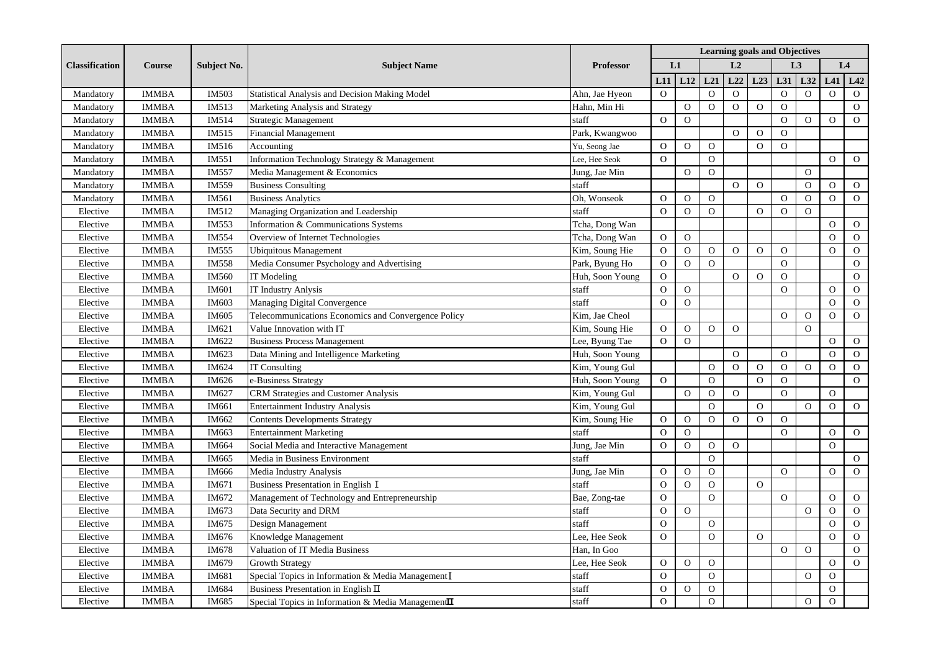| <b>Classification</b> | <b>Course</b> | <b>Subject No.</b> | <b>Subject Name</b>                                             | <b>Professor</b> | <b>Learning goals and Objectives</b> |                |                |                |                |                |                |                |                |
|-----------------------|---------------|--------------------|-----------------------------------------------------------------|------------------|--------------------------------------|----------------|----------------|----------------|----------------|----------------|----------------|----------------|----------------|
|                       |               |                    |                                                                 |                  | L1                                   | L <sub>2</sub> |                | L <sub>3</sub> |                | L4             |                |                |                |
|                       |               |                    |                                                                 |                  | L11                                  | L12            | L21            | L22            | L23            | L31            | L32            | L41            | L42            |
| Mandatory             | <b>IMMBA</b>  | IM503              | Statistical Analysis and Decision Making Model                  | Ahn, Jae Hyeon   | $\overline{0}$                       |                | $\mathbf{O}$   | $\mathbf{O}$   |                | $\mathbf{O}$   | $\overline{O}$ | $\overline{O}$ | $\mathbf{O}$   |
| Mandatory             | <b>IMMBA</b>  | IM513              | Marketing Analysis and Strategy                                 | Hahn, Min Hi     |                                      | $\mathbf O$    | $\mathbf O$    | $\mathbf O$    | $\mathbf O$    | $\mathbf O$    |                |                | $\mathbf{O}$   |
| Mandatory             | <b>IMMBA</b>  | IM514              | Strategic Management                                            | staff            | $\mathbf{O}$                         | $\overline{O}$ |                |                |                | $\overline{O}$ | $\Omega$       | $\Omega$       | $\mathbf{O}$   |
| Mandatory             | <b>IMMBA</b>  | IM515              | <b>Financial Management</b>                                     | Park, Kwangwoo   |                                      |                |                | $\Omega$       | $\Omega$       | $\Omega$       |                |                |                |
| Mandatory             | <b>IMMBA</b>  | IM516              | Accounting                                                      | Yu, Seong Jae    | $\overline{O}$                       | $\mathcal{O}$  | $\Omega$       |                | $\Omega$       | $\Omega$       |                |                |                |
| Mandatory             | <b>IMMBA</b>  | IM551              | Information Technology Strategy & Management                    | Lee, Hee Seok    | $\overline{O}$                       |                | $\Omega$       |                |                |                |                | $\Omega$       | $\mathbf{O}$   |
| Mandatory             | <b>IMMBA</b>  | <b>IM557</b>       | Media Management & Economics                                    | Jung, Jae Min    |                                      | $\mathbf{O}$   | $\overline{O}$ |                |                |                | $\overline{O}$ |                |                |
| Mandatory             | <b>IMMBA</b>  | IM559              | <b>Business Consulting</b>                                      | staff            |                                      |                |                | $\overline{O}$ | $\mathbf{O}$   |                | $\overline{O}$ | $\mathbf{O}$   | $\mathbf{O}$   |
| Mandatory             | <b>IMMBA</b>  | IM561              | <b>Business Analytics</b>                                       | Oh, Wonseok      | $\mathbf{O}$                         | $\mathcal{O}$  | $\mathbf O$    |                |                | ${\rm O}$      | $\mathbf O$    | $\Omega$       | $\overline{O}$ |
| Elective              | <b>IMMBA</b>  | IM512              | Managing Organization and Leadership                            | staff            | $\mathbf{O}$                         | $\overline{O}$ | $\Omega$       |                | $\overline{O}$ | $\overline{O}$ | $\Omega$       |                |                |
| Elective              | <b>IMMBA</b>  | IM553              | Information & Communications Systems                            | Tcha, Dong Wan   |                                      |                |                |                |                |                |                | $\Omega$       | $\mathbf{O}$   |
| Elective              | <b>IMMBA</b>  | IM554              | Overview of Internet Technologies                               | Tcha, Dong Wan   | $\overline{O}$                       | $\Omega$       |                |                |                |                |                | $\Omega$       | $\mathbf{O}$   |
| Elective              | <b>IMMBA</b>  | IM555              | <b>Ubiquitous Management</b>                                    | Kim, Soung Hie   | $\mathbf{O}$                         | $\mathbf{O}$   | $\mathbf{O}$   | $\Omega$       | $\Omega$       | $\Omega$       |                | $\Omega$       | $\mathbf{O}$   |
| Elective              | <b>IMMBA</b>  | IM558              | Media Consumer Psychology and Advertising                       | Park, Byung Ho   | $\mathbf O$                          | $\mathbf O$    | $\overline{O}$ |                |                | $\mathbf O$    |                |                | ${\rm O}$      |
| Elective              | <b>IMMBA</b>  | IM560              | IT Modeling                                                     | Huh, Soon Young  | $\mathbf O$                          |                |                | $\overline{O}$ | $\overline{O}$ | $\overline{O}$ |                |                | $\mathcal{O}$  |
| Elective              | <b>IMMBA</b>  | IM601              | <b>IT Industry Anlysis</b>                                      | staff            | $\mathbf O$                          | $\overline{O}$ |                |                |                | ${\rm O}$      |                | $\Omega$       | $\mathcal{O}$  |
| Elective              | <b>IMMBA</b>  | IM603              | Managing Digital Convergence                                    | staff            | $\mathbf{O}$                         | $\overline{O}$ |                |                |                |                |                | $\Omega$       | $\mathbf{O}$   |
| Elective              | <b>IMMBA</b>  | IM605              | Telecommunications Economics and Convergence Policy             | Kim, Jae Cheol   |                                      |                |                |                |                | $\Omega$       | $\mathbf{O}$   | $\Omega$       | $\mathbf{O}$   |
| Elective              | <b>IMMBA</b>  | IM621              | Value Innovation with IT                                        | Kim, Soung Hie   | $\overline{O}$                       | $\mathbf{O}$   | $\overline{O}$ | $\overline{O}$ |                |                | $\overline{O}$ |                |                |
| Elective              | <b>IMMBA</b>  | IM622              | <b>Business Process Management</b>                              | Lee, Byung Tae   | $\overline{O}$                       | $\Omega$       |                |                |                |                |                | $\Omega$       | $\mathbf{O}$   |
| Elective              | <b>IMMBA</b>  | IM623              | Data Mining and Intelligence Marketing                          | Huh, Soon Young  |                                      |                |                | $\Omega$       |                | $\overline{O}$ |                | $\Omega$       | $\mathbf{O}$   |
| Elective              | <b>IMMBA</b>  | IM624              | <b>IT Consulting</b>                                            | Kim, Young Gul   |                                      |                | $\Omega$       | $\Omega$       | $\mathbf{O}$   | $\mathbf O$    | $\mathbf O$    | $\Omega$       | $\mathbf{O}$   |
| Elective              | <b>IMMBA</b>  | IM626              | e-Business Strategy                                             | Huh, Soon Young  | $\overline{O}$                       |                | $\Omega$       |                | $\Omega$       | $\overline{O}$ |                |                | $\overline{O}$ |
| Elective              | <b>IMMBA</b>  | IM627              | <b>CRM Strategies and Customer Analysis</b>                     | Kim, Young Gul   |                                      | $\overline{O}$ | $\Omega$       | $\Omega$       |                | $\Omega$       |                | $\Omega$       |                |
| Elective              | <b>IMMBA</b>  | IM661              | <b>Entertainment Industry Analysis</b>                          | Kim, Young Gul   |                                      |                | $\Omega$       |                | $\Omega$       |                | $\overline{O}$ | $\Omega$       | $\overline{O}$ |
| Elective              | <b>IMMBA</b>  | IM662              | <b>Contents Developments Strategy</b>                           | Kim, Soung Hie   | $\mathbf{O}$                         | $\mathbf{O}$   | $\overline{O}$ | $\overline{O}$ | $\mathbf{O}$   | $\overline{O}$ |                |                |                |
| Elective              | <b>IMMBA</b>  | IM663              | <b>Entertainment Marketing</b>                                  | staff            | $\mathbf{O}$                         | $\mathbf{O}$   |                |                |                | $\Omega$       |                | $\Omega$       | $\mathbf{O}$   |
| Elective              | <b>IMMBA</b>  | IM664              | Social Media and Interactive Management                         | Jung, Jae Min    | $\mathbf O$                          | $\mathbf O$    | $\Omega$       | $\overline{O}$ |                |                |                | $\Omega$       |                |
| Elective              | <b>IMMBA</b>  | IM665              | Media in Business Environment                                   | staff            |                                      |                | $\Omega$       |                |                |                |                |                | $\mathbf{O}$   |
| Elective              | <b>IMMBA</b>  | IM666              | Media Industry Analysis                                         | Jung, Jae Min    | $\overline{O}$                       | $\mathcal O$   | $\overline{O}$ |                |                | $\Omega$       |                | $\Omega$       | $\mathcal O$   |
| Elective              | <b>IMMBA</b>  | IM671              | Business Presentation in English I                              | staff            | $\overline{O}$                       | $\overline{O}$ | $\Omega$       |                | $\overline{O}$ |                |                |                |                |
| Elective              | <b>IMMBA</b>  | IM672              | Management of Technology and Entrepreneurship                   | Bae, Zong-tae    | $\overline{O}$                       |                | $\Omega$       |                |                | $\Omega$       |                | $\Omega$       | $\mathbf{O}$   |
| Elective              | <b>IMMBA</b>  | IM673              | Data Security and DRM                                           | staff            | $\overline{O}$                       | $\overline{O}$ |                |                |                |                | $\mathbf{O}$   | $\Omega$       | $\mathbf{O}$   |
| Elective              | <b>IMMBA</b>  | IM675              | Design Management                                               | staff            | $\Omega$                             |                | $\mathbf O$    |                |                |                |                | $\Omega$       | $\mathbf{O}$   |
| Elective              | <b>IMMBA</b>  | IM676              | Knowledge Management                                            | Lee, Hee Seok    | $\mathbf O$                          |                | $\mathbf{O}$   |                | $\Omega$       |                |                | $\overline{O}$ | $\mathbf{O}$   |
| Elective              | <b>IMMBA</b>  | IM678              | Valuation of IT Media Business                                  | Han, In Goo      |                                      |                |                |                |                | $\mathbf O$    | $\Omega$       |                | $\mathbf 0$    |
| Elective              | <b>IMMBA</b>  | IM679              | <b>Growth Strategy</b>                                          | Lee, Hee Seok    | $\overline{O}$                       | $\mathbf{O}$   | $\overline{O}$ |                |                |                |                | $\Omega$       | $\mathbf{O}$   |
| Elective              | <b>IMMBA</b>  | IM681              | Special Topics in Information & Media Management I              | staff            | $\overline{O}$                       |                | $\Omega$       |                |                |                | $\Omega$       | $\Omega$       |                |
| Elective              | <b>IMMBA</b>  | IM684              | Business Presentation in English $\Pi$                          | staff            | $\Omega$                             | $\mathbf{O}$   | $\Omega$       |                |                |                |                | $\overline{O}$ |                |
| Elective              | <b>IMMBA</b>  | IM685              | Special Topics in Information & Media Management $\mathbf{\Pi}$ | staff            | $\Omega$                             |                | $\Omega$       |                |                |                | $\Omega$       | $\mathbf{O}$   |                |